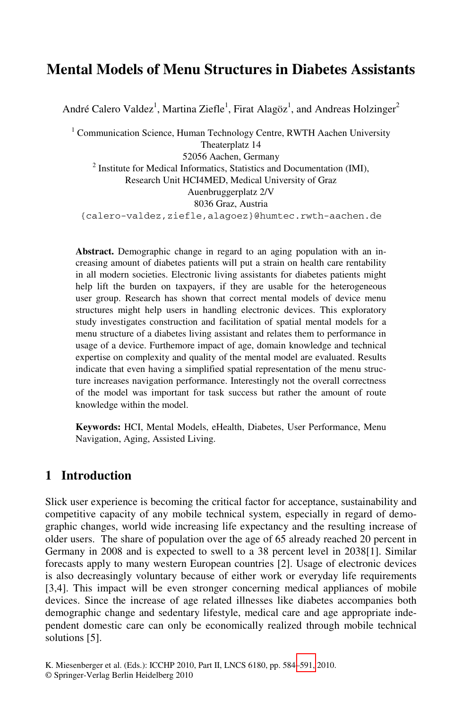# **Mental Models of Menu Structures in Diabetes Assistants**

André Calero Valdez<sup>1</sup>, Martina Ziefle<sup>1</sup>, Firat Alagöz<sup>1</sup>, and Andreas Holzinger<sup>2</sup>

<sup>1</sup> Communication Science, Human Technology Centre, RWTH Aachen University Theaterplatz 14 52056 Aachen, Germany<br><sup>2</sup> Institute for Medical Informatics, Statistics and Documentation (IMI), Research Unit HCI4MED, Medical University of Graz Auenbruggerplatz 2/V 8036 Graz, Austria {calero-valdez,ziefle,alagoez}@humtec.rwth-aachen.de

**Abstract.** Demographic change in regard to an aging population with an increasing amount of diabetes patients will put a strain on health care rentability in all modern societies. Electronic living assistants for diabetes patients might help lift the burden on taxpayers, if they are usable for the heterogeneous user group. Research has shown that correct mental models of device menu structures might help users in handling electronic devices. This exploratory study investigates construction and facilitation of spatial mental models for a menu structure of a diabetes living assistant and relates them to performance in usage of a device. Furthemore impact of age, domain knowledge and technical expertise on complexity and quality of the mental model are evaluated. Results indicate that even having a simplified spatial representation of the menu structure increases navigation performance. Interestingly not the overall correctness of the model was important for task success but rather the amount of route knowledge within the model.

**Keywords:** HCI, Mental Models, eHealth, Diabetes, User Performance, Menu Navigation, Aging, Assisted Living.

### **1 Introduction**

Slick user experience is becoming the critical factor for acceptance, sustainability and competitive capacity of any mobile technical system, especially in regard of demographic changes, world wide increasing life expectancy and the resulting increase of older users. The share of population over the age of 65 already reached 20 percent in Germany in 2008 and is expected to swell to a 38 percent level in 2038[1]. Similar forecasts apply to many western Eur[opean](#page-7-0) countries [2]. Usage of electronic devices is also decreasingly voluntary because of either work or everyday life requirements [3,4]. This impact will be even stronger concerning medical appliances of mobile devices. Since the increase of age related illnesses like diabetes accompanies both demographic change and sedentary lifestyle, medical care and age appropriate independent domestic care can only be economically realized through mobile technical solutions [5].

K. Miesenberger et al. (Eds.): ICCHP 2010, Part II, LNCS 6180, pp. 584–591, 2010.

© Springer-Verlag Berlin Heidelberg 2010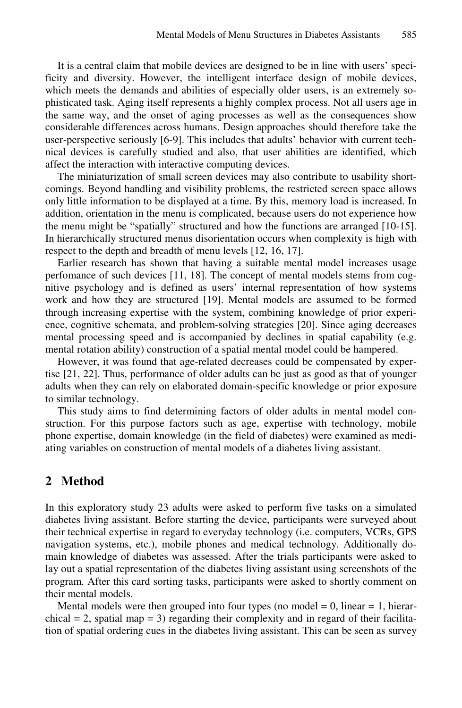It is a central claim that mobile devices are designed to be in line with users' specificity and diversity. However, the intelligent interface design of mobile devices, which meets the demands and abilities of especially older users, is an extremely sophisticated task. Aging itself represents a highly complex process. Not all users age in the same way, and the onset of aging processes as well as the consequences show considerable differences across humans. Design approaches should therefore take the user-perspective seriously [6-9]. This includes that adults' behavior with current technical devices is carefully studied and also, that user abilities are identified, which affect the interaction with interactive computing devices.

The miniaturization of small screen devices may also contribute to usability shortcomings. Beyond handling and visibility problems, the restricted screen space allows only little information to be displayed at a time. By this, memory load is increased. In addition, orientation in the menu is complicated, because users do not experience how the menu might be "spatially" structured and how the functions are arranged [10-15]. In hierarchically structured menus disorientation occurs when complexity is high with respect to the depth and breadth of menu levels [12, 16, 17].

Earlier research has shown that having a suitable mental model increases usage perfomance of such devices [11, 18]. The concept of mental models stems from cognitive psychology and is defined as users' internal representation of how systems work and how they are structured [19]. Mental models are assumed to be formed through increasing expertise with the system, combining knowledge of prior experience, cognitive schemata, and problem-solving strategies [20]. Since aging decreases mental processing speed and is accompanied by declines in spatial capability (e.g. mental rotation ability) construction of a spatial mental model could be hampered.

However, it was found that age-related decreases could be compensated by expertise [21, 22]. Thus, performance of older adults can be just as good as that of younger adults when they can rely on elaborated domain-specific knowledge or prior exposure to similar technology.

This study aims to find determining factors of older adults in mental model construction. For this purpose factors such as age, expertise with technology, mobile phone expertise, domain knowledge (in the field of diabetes) were examined as mediating variables on construction of mental models of a diabetes living assistant.

#### **2 Method**

In this exploratory study 23 adults were asked to perform five tasks on a simulated diabetes living assistant. Before starting the device, participants were surveyed about their technical expertise in regard to everyday technology (i.e. computers, VCRs, GPS navigation systems, etc.), mobile phones and medical technology. Additionally domain knowledge of diabetes was assessed. After the trials participants were asked to lay out a spatial representation of the diabetes living assistant using screenshots of the program. After this card sorting tasks, participants were asked to shortly comment on their mental models.

Mental models were then grouped into four types (no model  $= 0$ , linear  $= 1$ , hierar $chical = 2$ , spatial map  $= 3$ ) regarding their complexity and in regard of their facilitation of spatial ordering cues in the diabetes living assistant. This can be seen as survey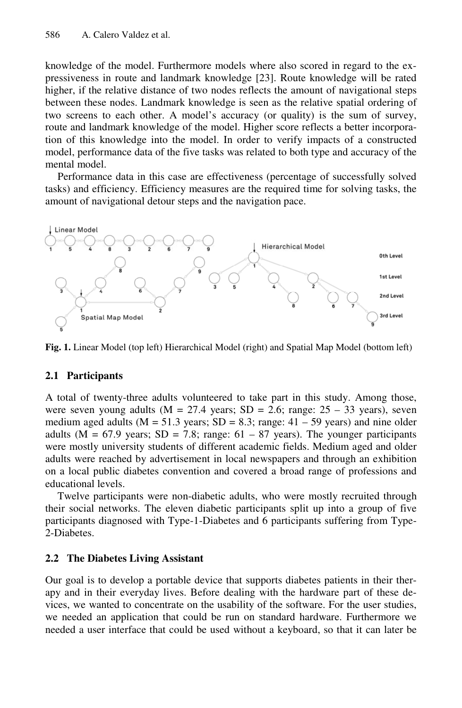knowledge of the model. Furthermore models where also scored in regard to the expressiveness in route and landmark knowledge [23]. Route knowledge will be rated higher, if the relative distance of two nodes reflects the amount of navigational steps between these nodes. Landmark knowledge is seen as the relative spatial ordering of two screens to each other. A model's accuracy (or quality) is the sum of survey, route and landmark knowledge of the model. Higher score reflects a better incorporation of this knowledge into the model. In order to verify impacts of a constructed model, performance data of the five tasks was related to both type and accuracy of the mental model.

Performance data in this case are effectiveness (percentage of successfully solved tasks) and efficiency. Efficiency measures are the required time for solving tasks, the amount of navigational detour steps and the navigation pace.



**Fig. 1.** Linear Model (top left) Hierarchical Model (right) and Spatial Map Model (bottom left)

### **2.1 Participants**

A total of twenty-three adults volunteered to take part in this study. Among those, were seven young adults ( $M = 27.4$  years;  $SD = 2.6$ ; range:  $25 - 33$  years), seven medium aged adults ( $M = 51.3$  years;  $SD = 8.3$ ; range:  $41 - 59$  years) and nine older adults ( $M = 67.9$  years;  $SD = 7.8$ ; range:  $61 - 87$  years). The younger participants were mostly university students of different academic fields. Medium aged and older adults were reached by advertisement in local newspapers and through an exhibition on a local public diabetes convention and covered a broad range of professions and educational levels.

Twelve participants were non-diabetic adults, who were mostly recruited through their social networks. The eleven diabetic participants split up into a group of five participants diagnosed with Type-1-Diabetes and 6 participants suffering from Type-2-Diabetes.

#### **2.2 The Diabetes Living Assistant**

Our goal is to develop a portable device that supports diabetes patients in their therapy and in their everyday lives. Before dealing with the hardware part of these devices, we wanted to concentrate on the usability of the software. For the user studies, we needed an application that could be run on standard hardware. Furthermore we needed a user interface that could be used without a keyboard, so that it can later be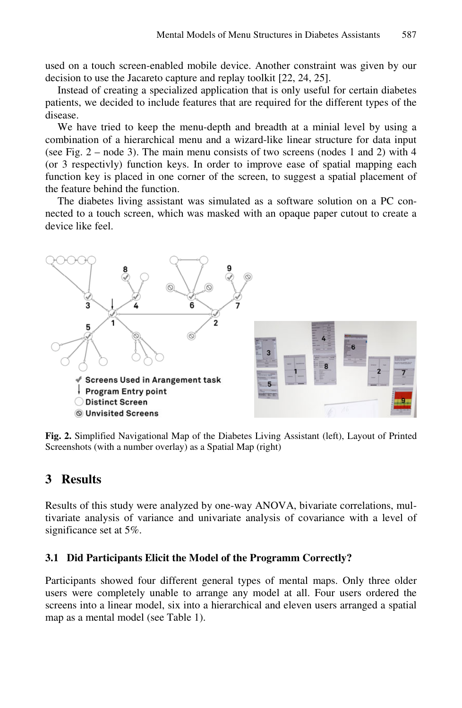used on a touch screen-enabled mobile device. Another constraint was given by our decision to use the Jacareto capture and replay toolkit [22, 24, 25].

Instead of creating a specialized application that is only useful for certain diabetes patients, we decided to include features that are required for the different types of the disease.

We have tried to keep the menu-depth and breadth at a minial level by using a combination of a hierarchical menu and a wizard-like linear structure for data input (see Fig.  $2$  – node 3). The main menu consists of two screens (nodes 1 and 2) with 4 (or 3 respectivly) function keys. In order to improve ease of spatial mapping each function key is placed in one corner of the screen, to suggest a spatial placement of the feature behind the function.

The diabetes living assistant was simulated as a software solution on a PC connected to a touch screen, which was masked with an opaque paper cutout to create a device like feel.



**Fig. 2.** Simplified Navigational Map of the Diabetes Living Assistant (left), Layout of Printed Screenshots (with a number overlay) as a Spatial Map (right)

## **3 Results**

Results of this study were analyzed by one-way ANOVA, bivariate correlations, multivariate analysis of variance and univariate analysis of covariance with a level of significance set at 5%.

#### **3.1 Did Participants Elicit the Model of the Programm Correctly?**

Participants showed four different general types of mental maps. Only three older users were completely unable to arrange any model at all. Four users ordered the screens into a linear model, six into a hierarchical and eleven users arranged a spatial map as a mental model (see Table 1).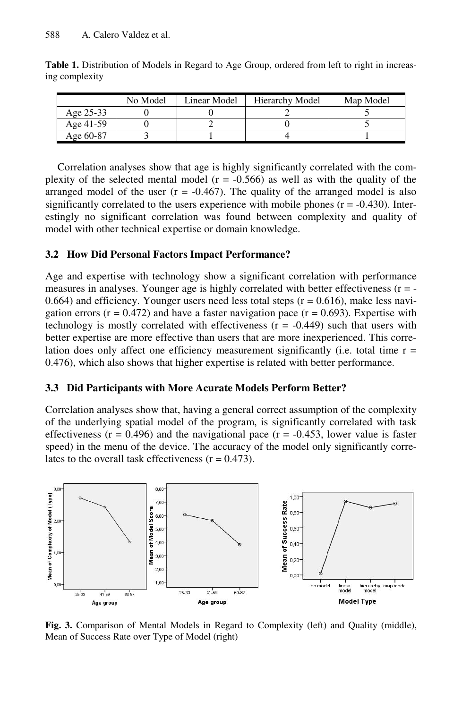|             | No Model | Linear Model | Hierarchy Model | Map Model |
|-------------|----------|--------------|-----------------|-----------|
| Age 25-33   |          |              |                 |           |
| Age $41-59$ |          |              |                 |           |
| Age 60-87   |          |              |                 |           |

**Table 1.** Distribution of Models in Regard to Age Group, ordered from left to right in increasing complexity

Correlation analyses show that age is highly significantly correlated with the complexity of the selected mental model ( $r = -0.566$ ) as well as with the quality of the arranged model of the user  $(r = -0.467)$ . The quality of the arranged model is also significantly correlated to the users experience with mobile phones ( $r = -0.430$ ). Interestingly no significant correlation was found between complexity and quality of model with other technical expertise or domain knowledge.

### **3.2 How Did Personal Factors Impact Performance?**

Age and expertise with technology show a significant correlation with performance measures in analyses. Younger age is highly correlated with better effectiveness (r = - 0.664) and efficiency. Younger users need less total steps  $(r = 0.616)$ , make less navigation errors ( $r = 0.472$ ) and have a faster navigation pace ( $r = 0.693$ ). Expertise with technology is mostly correlated with effectiveness  $(r = -0.449)$  such that users with better expertise are more effective than users that are more inexperienced. This correlation does only affect one efficiency measurement significantly (i.e. total time  $r =$ 0.476), which also shows that higher expertise is related with better performance.

### **3.3 Did Participants with More Acurate Models Perform Better?**

Correlation analyses show that, having a general correct assumption of the complexity of the underlying spatial model of the program, is significantly correlated with task effectiveness ( $r = 0.496$ ) and the navigational pace ( $r = -0.453$ , lower value is faster speed) in the menu of the device. The accuracy of the model only significantly correlates to the overall task effectiveness  $(r = 0.473)$ .



**Fig. 3.** Comparison of Mental Models in Regard to Complexity (left) and Quality (middle), Mean of Success Rate over Type of Model (right)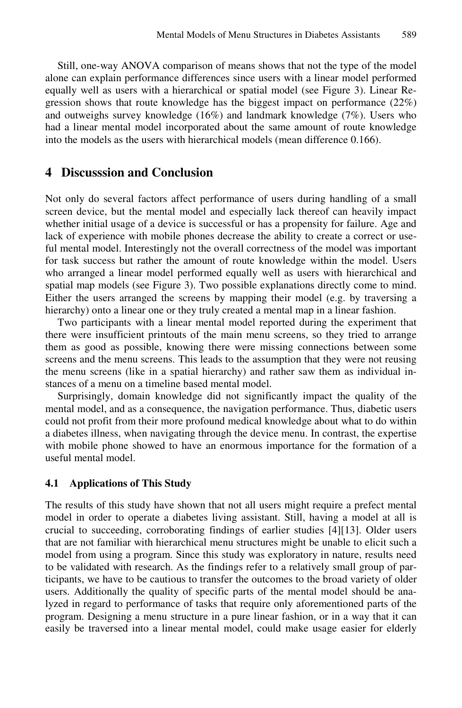Still, one-way ANOVA comparison of means shows that not the type of the model alone can explain performance differences since users with a linear model performed equally well as users with a hierarchical or spatial model (see Figure 3). Linear Regression shows that route knowledge has the biggest impact on performance  $(22\%)$ and outweighs survey knowledge (16%) and landmark knowledge (7%). Users who had a linear mental model incorporated about the same amount of route knowledge into the models as the users with hierarchical models (mean difference 0.166).

#### **4 Discusssion and Conclusion**

Not only do several factors affect performance of users during handling of a small screen device, but the mental model and especially lack thereof can heavily impact whether initial usage of a device is successful or has a propensity for failure. Age and lack of experience with mobile phones decrease the ability to create a correct or useful mental model. Interestingly not the overall correctness of the model was important for task success but rather the amount of route knowledge within the model. Users who arranged a linear model performed equally well as users with hierarchical and spatial map models (see Figure 3). Two possible explanations directly come to mind. Either the users arranged the screens by mapping their model (e.g. by traversing a hierarchy) onto a linear one or they truly created a mental map in a linear fashion.

Two participants with a linear mental model reported during the experiment that there were insufficient printouts of the main menu screens, so they tried to arrange them as good as possible, knowing there were missing connections between some screens and the menu screens. This leads to the assumption that they were not reusing the menu screens (like in a spatial hierarchy) and rather saw them as individual instances of a menu on a timeline based mental model.

Surprisingly, domain knowledge did not significantly impact the quality of the mental model, and as a consequence, the navigation performance. Thus, diabetic users could not profit from their more profound medical knowledge about what to do within a diabetes illness, when navigating through the device menu. In contrast, the expertise with mobile phone showed to have an enormous importance for the formation of a useful mental model.

#### **4.1 Applications of This Study**

The results of this study have shown that not all users might require a prefect mental model in order to operate a diabetes living assistant. Still, having a model at all is crucial to succeeding, corroborating findings of earlier studies [4][13]. Older users that are not familiar with hierarchical menu structures might be unable to elicit such a model from using a program. Since this study was exploratory in nature, results need to be validated with research. As the findings refer to a relatively small group of participants, we have to be cautious to transfer the outcomes to the broad variety of older users. Additionally the quality of specific parts of the mental model should be analyzed in regard to performance of tasks that require only aforementioned parts of the program. Designing a menu structure in a pure linear fashion, or in a way that it can easily be traversed into a linear mental model, could make usage easier for elderly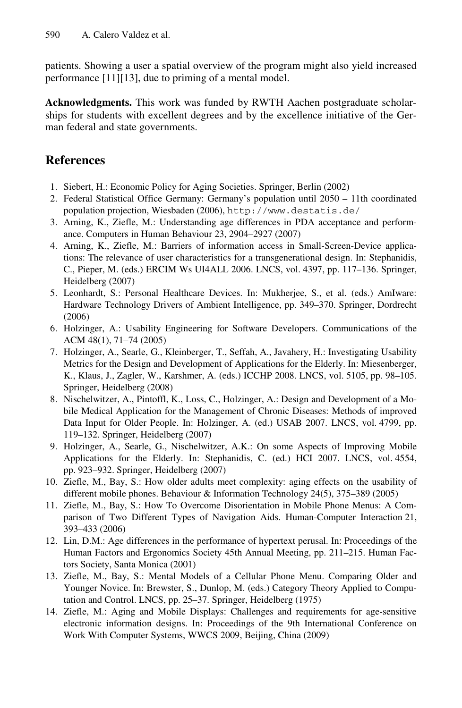patients. Showing a user a spatial overview of the program might also yield increased performance [11][13], due to priming of a mental model.

**Acknowledgments.** This work was funded by RWTH Aachen postgraduate scholarships for students with excellent degrees and by the excellence initiative of the German federal and state governments.

# **References**

- 1. Siebert, H.: Economic Policy for Aging Societies. Springer, Berlin (2002)
- 2. Federal Statistical Office Germany: Germany's population until 2050 11th coordinated population projection, Wiesbaden (2006), http://www.destatis.de/
- 3. Arning, K., Ziefle, M.: Understanding age differences in PDA acceptance and performance. Computers in Human Behaviour 23, 2904–2927 (2007)
- 4. Arning, K., Ziefle, M.: Barriers of information access in Small-Screen-Device applications: The relevance of user characteristics for a transgenerational design. In: Stephanidis, C., Pieper, M. (eds.) ERCIM Ws UI4ALL 2006. LNCS, vol. 4397, pp. 117–136. Springer, Heidelberg (2007)
- 5. Leonhardt, S.: Personal Healthcare Devices. In: Mukherjee, S., et al. (eds.) AmIware: Hardware Technology Drivers of Ambient Intelligence, pp. 349–370. Springer, Dordrecht (2006)
- 6. Holzinger, A.: Usability Engineering for Software Developers. Communications of the ACM 48(1), 71–74 (2005)
- 7. Holzinger, A., Searle, G., Kleinberger, T., Seffah, A., Javahery, H.: Investigating Usability Metrics for the Design and Development of Applications for the Elderly. In: Miesenberger, K., Klaus, J., Zagler, W., Karshmer, A. (eds.) ICCHP 2008. LNCS, vol. 5105, pp. 98–105. Springer, Heidelberg (2008)
- 8. Nischelwitzer, A., Pintoffl, K., Loss, C., Holzinger, A.: Design and Development of a Mobile Medical Application for the Management of Chronic Diseases: Methods of improved Data Input for Older People. In: Holzinger, A. (ed.) USAB 2007. LNCS, vol. 4799, pp. 119–132. Springer, Heidelberg (2007)
- 9. Holzinger, A., Searle, G., Nischelwitzer, A.K.: On some Aspects of Improving Mobile Applications for the Elderly. In: Stephanidis, C. (ed.) HCI 2007. LNCS, vol. 4554, pp. 923–932. Springer, Heidelberg (2007)
- 10. Ziefle, M., Bay, S.: How older adults meet complexity: aging effects on the usability of different mobile phones. Behaviour & Information Technology 24(5), 375–389 (2005)
- 11. Ziefle, M., Bay, S.: How To Overcome Disorientation in Mobile Phone Menus: A Comparison of Two Different Types of Navigation Aids. Human-Computer Interaction 21, 393–433 (2006)
- 12. Lin, D.M.: Age differences in the performance of hypertext perusal. In: Proceedings of the Human Factors and Ergonomics Society 45th Annual Meeting, pp. 211–215. Human Factors Society, Santa Monica (2001)
- 13. Ziefle, M., Bay, S.: Mental Models of a Cellular Phone Menu. Comparing Older and Younger Novice. In: Brewster, S., Dunlop, M. (eds.) Category Theory Applied to Computation and Control. LNCS, pp. 25–37. Springer, Heidelberg (1975)
- 14. Ziefle, M.: Aging and Mobile Displays: Challenges and requirements for age-sensitive electronic information designs. In: Proceedings of the 9th International Conference on Work With Computer Systems, WWCS 2009, Beijing, China (2009)